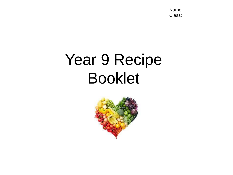Name: Class:

# Year 9 Recipe Booklet

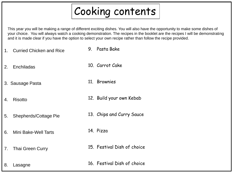## Cooking contents

This year you will be making a range of different exciting dishes. You will also have the opportunity to make some dishes of your choice. You will always watch a cooking demonstration. The recipes in the booklet are the recipes I will be demonstrating and it is made clear if you have the option to select your own recipe rather than follow the recipe provided.

- 1. Curried Chicken and Rice 9. Pasta Bake
- 2. Enchiladas 10. Carrot Cake
- 3. Sausage Pasta 11. Brownies
- 4. Risotto 12. Build your own Kebab
- 5. Shepherds/Cottage Pie 13. Chips and Curry Sauce
- 6. Mini Bake-Well Tarts
- 7. Thai Green Curry
- 14. Pizza
	- 15. Festival Dish of choice

8. Lasagne

16. Festival Dish of choice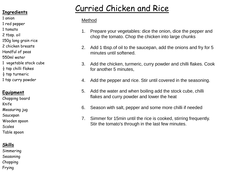- 1 onion
- 1 red pepper
- 1 tomato
- 2 tbsp. oil
- 150g long grain rice
- 2 chicken breasts
- Handful of peas
- 550ml water
- 1 vegetable stock cube
- $\frac{1}{2}$  tsp chilli flakes
- $\frac{1}{2}$  tsp turmeric
- 1 tsp curry powder

#### **Equipment**

Chopping board Knife Measuring jug Saucepan Wooden spoon **Scales** Table spoon

#### **Skills**

Simmering Seasoning Chopping Frying

### Curried Chicken and Rice **Ingredients**

- 1. Prepare your vegetables: dice the onion, dice the pepper and chop the tomato. Chop the chicken into large chunks
- 2. Add 1 tbsp.of oil to the saucepan, add the onions and fry for 5 minutes until softened.
- 3. Add the chicken, turmeric, curry powder and chilli flakes. Cook for another 5 minutes,
- 4. Add the pepper and rice. Stir until covered in the seasoning.
- 5. Add the water and when boiling add the stock cube, chilli flakes and curry powder and lower the heat
- 6. Season with salt, pepper and some more chilli if needed
- 7. Simmer for 15min until the rice is cooked, stirring frequently. Stir the tomato's through in the last few minutes.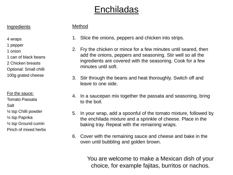### **Enchiladas**

#### **Ingredients**

#### Method

- 4 wraps
- 1 pepper
- 1 onion
- 1 can of black beans
- 2 Chicken breasts
- Optional: Small chilli
- 100g grated cheese
- For the sauce:

Tomato Passata

Salt

- ½ tsp Chilli powder
- ½ tsp Paprika
- ½ tsp Ground cumin
- Pinch of mixed herbs
- 1. Slice the onions, peppers and chicken into strips.
- 2. Fry the chicken or mince for a few minutes until seared, then add the onions, peppers and seasoning. Stir well so all the ingredients are covered with the seasoning. Cook for a few minutes until soft.
- 3. Stir through the beans and heat thoroughly. Switch off and leave to one side.
- 4. In a saucepan mix together the passata and seasoning, bring to the boil.
- 5. In your wrap, add a spoonful of the tomato mixture, followed by the enchilada mixture and a sprinkle of cheese. Place in the baking tray. Repeat with the remaining wraps.
- 6. Cover with the remaining sauce and cheese and bake in the oven until bubbling and golden brown.

You are welcome to make a Mexican dish of your choice, for example fajitas, burritos or nachos.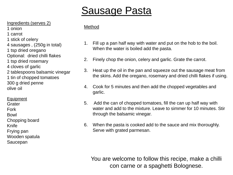## Sausage Pasta

Ingredients (serves 2)

- 1 onion 1 carrot
- 1 stick of celery
- 
- 4 sausages , (250g in total)
- 1 tsp dried oregano
- Optional: dried chilli flakes
- 1 tsp dried rosemary
- 4 cloves of garlic
- 2 tablespoons balsamic vinegar
- 1 tin of chopped tomatoes
- 300 g dried penne
- olive oil
- Equipment
- **Grater**
- Fork
- Bowl
- Chopping board
- Knife
- Frying pan
- Wooden spatula
- Saucepan

#### Method

- 1. Fill up a pan half way with water and put on the hob to the boil. When the water is boiled add the pasta.
- 2. Finely chop the onion, celery and garlic. Grate the carrot.
- 3. Heat up the oil in the pan and squeeze out the sausage meat from the skins. Add the oregano, rosemary and dried chilli flakes if using.
- 4. Cook for 5 minutes and then add the chopped vegetables and garlic.
- 5. Add the can of chopped tomatoes, fill the can up half way with water and add to the mixture. Leave to simmer for 10 minutes. Stir through the balsamic vinegar.
- 6. When the pasta is cooked add to the sauce and mix thoroughly. Serve with grated parmesan.

You are welcome to follow this recipe, make a chilli con carne or a spaghetti Bolognese.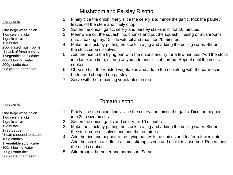#### Mushroom and Parsley Risotto

#### Ingredients

- One large white onion
- Two celery sticks
- 1 garlic clove
- 15g butter
- 250g mixed mushrooms
- ½ pack of fresh parsley
- 1 vegetable stock cube
- 400ml boiling water
- 200g risotto rice
- 50g grated parmesan

#### 1. Finely dice the onion, finely slice the celery and mince the garlic. Pick the parsley leaves off the stem and finely chop.

- 2. Soften the onion, garlic, celery and parsley stalks in oil for 10 minutes.
- 3. Meanwhile cut the squash into chunks and put the squash, if using or mushrooms onto a baking tray. Drizzle with oil and roast for 20 minutes.
- 4. Make the stock by putting the stock in a jug and adding the boiling water. Stir until the stock cube dissolves.
- 5. Add the rice to the frying pan with the onions and fry for a few minutes. Add the stock in a ladle at a time, stirring as you add until it is absorbed. Repeat until the rice is cooked.
- 6. Chop up half the roasted vegetables and add to the rice along with the parmesan, butter and chopped up parsley.
- 7. Serve with the remaining vegetables on top.

#### Tomato risotto

- 1. Finely dice the onion, finely slice the celery and mince the garlic. Dice the pepper into 2cm size pieces.
	- 2. Soften the onion, garlic and celery for 10 minutes.
- 3. Make the stock by putting the stock in a jug and adding the boiling water. Stir until the stock cube dissolves and add the tomatoes.
- 4. Add the rice and pepper to the frying pan with the onions and fry for a few minutes. Add the stock in a ladle at a time, stirring as you add until it is absorbed. Repeat until the rice is cooked.
- 5. Stir through the butter and parmesan. Serve.

#### Ingredients

- One large white onion
- Two celery sticks
- 1 garlic clove
- 15g butter
- 1 red pepper
- ½ can chopped tomatoes
- 100g chorizo
- 1 vegetable stock cube
- 300ml boiling water
- 200g risotto rice
- 50g grated parmesan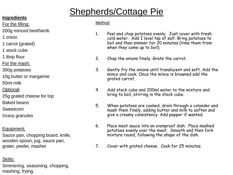### Shepherds/Cottage Pie

#### **Ingredients**

For the filling:

- 200g minced beef/lamb
- 1 onion
- 1 carrot (grated)
- 1 stock cube
- 1 tbsp flour
- For the mash:
- 300g potatoes
- 10g butter or margarine
- 50ml milk
- Optional:
- 25g grated cheese for top
- Baked beans
- Sweetcorn
- Gravy granules

### Equipment;

Sauce pan, chopping board, knife, wooden spoon, jug, sauce pan, grater, peeler, masher

#### Skills:

Simmering, seasoning, chopping, mashing, frying,

- 1. Peel and chop potatoes evenly. Just cover with fresh cold water. Add I level tsp of salt. Bring potatoes to boil and then simmer for 20 minutes (time them from when they come up to boil).
- 2. Chop the onions finely. Grate the carrot.
- 3. Gently fry the onions until translucent and soft. Add the mince and cook. Once the mince is browned add the grated carrot.
- 4. Add stock cube and 200ml water to the mixture and bring to boil, stirring in the stock cube.
- 5. When potatoes are cooked, drain through a colander and mash them finely, adding butter and milk to soften and give a creamy consistency. Add pepper if wanted.
- 6. Place meat sauce into an ovenproof dish. Place mashed potatoes evenly over the meat. Smooth and then fork mixture round, following the shape of the dish.
- 7. Cover with grated cheese. Cook for 25 minutes.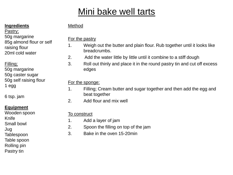### Mini bake well tarts

#### **Ingredients**

50g margarine

20ml cold water

50g margarine 50g caster sugar 50g self raising flour

raising flour

85g almond flour or self

Pastry;

Filling;

1 egg

#### Method

#### For the pastry

- 1. Weigh out the butter and plain flour. Rub together until it looks like breadcrumbs.
- 2. Add the water little by little until it combine to a stiff dough
- 3. Roll out thinly and place it in the round pastry tin and cut off excess edges

#### For the sponge:

- 1. Filling; Cream butter and sugar together and then add the egg and beat together
- 2. Add flour and mix well

#### To construct

- 1. Add a layer of jam
- 2. Spoon the filling on top of the jam
- 3. Bake in the oven 15-20min

6 tsp. jam

#### **Equipment**

Wooden spoon Knife

Small bowl

Jug

- **Tablespoon**
- Table spoon
- Rolling pin
- Pastry tin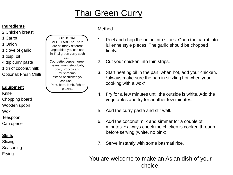### Thai Green Curry

#### **Ingredients**

- 2 Chicken breast
- 1 Carrot
- 1 Onion
- 1 clove of garlic
- 1 tbsp. oil
- 4 tsp curry paste
- 1 tin of coconut milk
- Optional: Fresh Chilli

#### **Equipment**

Knife

- Chopping board
- Wooden spoon
- Wok
- Teaspoon

Can opener

#### **Skills**

**Slicing** 

Seasoning

Frying

### Method

**OPTIONAL** VEGETABLES: There are so many different vegetables you can use in Thai green curry such as…. Courgette, pepper, green beans, mangetout baby corn, broccoli and mushrooms. Instead of chicken you can use… Pork, beef, lamb, fish or prawns.

- 1. Peel and chop the onion into slices. Chop the carrot into julienne style pieces. The garlic should be chopped finely.
- 2. Cut your chicken into thin strips.
- 3. Start heating oil in the pan, when hot, add your chicken. \*always make sure the pan in sizzling hot when your cooking with a wok\*
- 4. Fry for a few minutes until the outside is white. Add the vegetables and fry for another few minutes.
- 5. Add the curry paste and stir well.
- 6. Add the coconut milk and simmer for a couple of minutes. \* always check the chicken is cooked through before serving (white, no pink)
- 7. Serve instantly with some basmati rice.

You are welcome to make an Asian dish of your choice.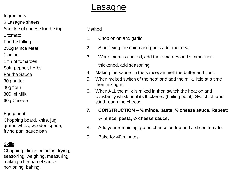### **Lasagne**

#### **Ingredients**

6 Lasagne sheets

Sprinkle of cheese for the top

1 tomato

For the Filling

250g Mince Meat

1 onion

1 tin of tomatoes

Salt, pepper, herbs

For the Sauce

30g butter

- 30g flour
- 300 ml Milk

60g Cheese

#### Equipment

Chopping board, knife, jug, grater, whisk, wooden spoon, frying pan, sauce pan

#### **Skills**

Chopping, dicing, mincing, frying, seasoning, weighing, measuring, making a bechamel sauce, portioning, baking.

- 1. Chop onion and garlic
- 2. Start frying the onion and garlic add the meat.
- 3. When meat is cooked, add the tomatoes and simmer until thickened, add seasoning
- 4. Making the sauce: in the saucepan melt the butter and flour.
- 5. When melted switch of the heat and add the milk, little at a time then mixing in.
- 6. When ALL the milk is mixed in then switch the heat on and constantly whisk until its thickened (boiling point). Switch off and stir through the cheese.
- **7. CONSTRUCTION – ½ mince, pasta, ½ cheese sauce. Repeat: ½ mince, pasta, ½ cheese sauce.**
- 8. Add your remaining grated cheese on top and a sliced tomato.
- 9. Bake for 40 minutes.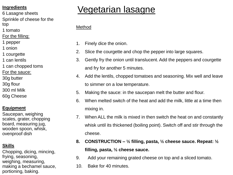- 6 Lasagne sheets
- Sprinkle of cheese for the
- top
- 1 tomato
- For the filling:
- 1 pepper
- 1 onion
- 1 courgette
- 1 can lentils
- 1 can chopped toms
- For the sauce:
- 30g butter
- 30g flour
- 300 ml Milk
- 60g Cheese

#### **Equipment**

Saucepan, weighing scales, grater, chopping board, measuring jug, wooden spoon, whisk, ovenproof dish

#### **Skills**

Chopping, dicing, mincing, frying, seasoning, weighing, measuring, making a bechamel sauce, portioning, baking.

### Vegetarian lasagne **Ingredients**

- 1. Finely dice the onion.
- 2. Slice the courgette and chop the pepper into large squares.
- 3. Gently fry the onion until translucent. Add the peppers and courgette and fry for another 5 minutes.
- 4. Add the lentils, chopped tomatoes and seasoning. Mix well and leave to simmer on a low temperature.
- 5. Making the sauce: in the saucepan melt the butter and flour.
- 6. When melted switch of the heat and add the milk, little at a time then mixing in.
- 7. When ALL the milk is mixed in then switch the heat on and constantly whisk until its thickened (boiling point). Switch off and stir through the cheese.
- **8. CONSTRUCTION – ½ filling, pasta, ½ cheese sauce. Repeat: ½ filling, pasta, ½ cheese sauce.**
- 9. Add your remaining grated cheese on top and a sliced tomato.
- 10. Bake for 40 minutes.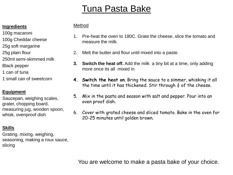### Tuna Pasta Bake

#### **Ingredients**

- 100g macaroni
- 100g Cheddar cheese
- 25g soft margarine
- 25g plain flour
- 250ml semi-skimmed milk
- Black pepper
- 1 can of tuna
- 1 small can of sweetcorn

#### **Equipment**

Saucepan, weighing scales, grater, chopping board, measuring jug, wooden spoon, whisk, ovenproof dish

#### **Skills**

Grating, mixing, weighing, seasoning, making a roux sauce, slicing

#### Method

- 1. Pre-heat the oven to 180C. Grate the cheese, slice the tomato and measure the milk.
- 2. Melt the butter and flour until mixed into a paste.
- **3. Switch the heat off.** Add the milk a tiny bit at a time, only adding more once its all mixed in
- **4. Switch the heat on**. Bring the sauce to a simmer, whisking it all the time until it has thickened. Stir through  $\frac{3}{4}$  of the cheese.
- 5. Mix in the pasta and season with salt and pepper. Pour into an oven proof dish.
- 6. Cover with grated cheese and sliced tomato. Bake in the oven for 20-25 minutes until golden brown.

You are welcome to make a pasta bake of your choice.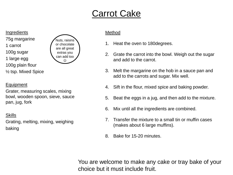### Carrot Cake

**Ingredients** 75g margarine 1 carrot 100g sugar 1 large egg 100g plain flour ½ tsp. Mixed Spice



#### Equipment

Grater, measuring scales, mixing bowl, wooden spoon, sieve, sauce pan, jug, fork

Skills

Grating, melting, mixing, weighing baking

#### Method

- 1. Heat the oven to 180degrees.
- 2. Grate the carrot into the bowl. Weigh out the sugar and add to the carrot.
- 3. Melt the margarine on the hob in a sauce pan and add to the carrots and sugar. Mix well.
- 4. Sift in the flour, mixed spice and baking powder.
- 5. Beat the eggs in a jug, and then add to the mixture.
- 6. Mix until all the ingredients are combined.
- 7. Transfer the mixture to a small tin or muffin cases (makes about 6 large muffins).
- 8. Bake for 15-20 minutes.

You are welcome to make any cake or tray bake of your choice but it must include fruit.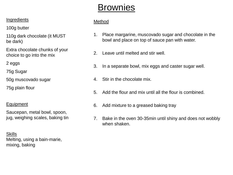### **Brownies**

#### **Ingredients**

100g butter

110g dark chocolate (it MUST be dark)

Extra chocolate chunks of your choice to go into the mix

2 eggs

75g Sugar

50g muscovado sugar

75g plain flour

#### Equipment

Saucepan, metal bowl, spoon, jug, weighing scales, baking tin

**Skills** Melting, using a bain-marie, mixing, baking

- 1. Place margarine, muscovado sugar and chocolate in the bowl and place on top of sauce pan with water.
- 2. Leave until melted and stir well.
- 3. In a separate bowl, mix eggs and caster sugar well.
- 4. Stir in the chocolate mix.
- 5. Add the flour and mix until all the flour is combined.
- 6. Add mixture to a greased baking tray
- 7. Bake in the oven 30-35min until shiny and does not wobbly when shaken.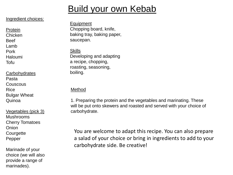### Build your own Kebab

#### Ingredient choices:

Protein Chicken Beef Lamb Pork Haloumi Tofu

**Carbohydrates** Pasta Couscous Rice Bulgar Wheat Quinoa

Vegetables (pick 3) Mushrooms Cherry Tomatoes **Onion Courgette** Pepper

Marinade of your choice (we will also provide a range of marinades).

Equipment Chopping board, knife, baking tray, baking paper, saucepan.

**Skills** Developing and adapting a recipe, chopping, roasting, seasoning, boiling.

Method

1. Preparing the protein and the vegetables and marinating. These will be put onto skewers and roasted and served with your choice of carbohydrate.

You are welcome to adapt this recipe. You can also prepare a salad of your choice or bring in ingredients to add to your carbohydrate side. Be creative!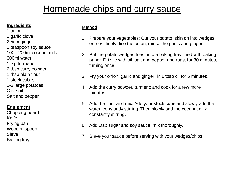### Homemade chips and curry sauce

#### **Ingredients**

1 onion

- 1 garlic clove
- 2.5cm ginger
- 1 teaspoon soy sauce
- 100 200ml coconut milk
- 300ml water
- 1 tsp turmeric
- 2 tbsp curry powder
- 1 tbsp plain flour
- 1 stock cubes
- 1-2 large potatoes
- Olive oil
- Salt and pepper

#### **Equipment**

Chopping board Knife Frying pan Wooden spoon **Sieve** Baking tray

- 1. Prepare your vegetables: Cut your potato, skin on into wedges or fries, finely dice the onion, mince the garlic and ginger.
- 2. Put the potato wedges/fries onto a baking tray lined with baking paper. Drizzle with oil, salt and pepper and roast for 30 minutes, turning once.
- 3. Fry your onion, garlic and ginger in 1 tbsp oil for 5 minutes.
- 4. Add the curry powder, turmeric and cook for a few more minutes.
- 5. Add the flour and mix. Add your stock cube and slowly add the water, constantly stirring. Then slowly add the coconut milk, constantly stirring.
- 6. Add 1tsp sugar and soy sauce, mix thoroughly.
- 7. Sieve your sauce before serving with your wedges/chips.